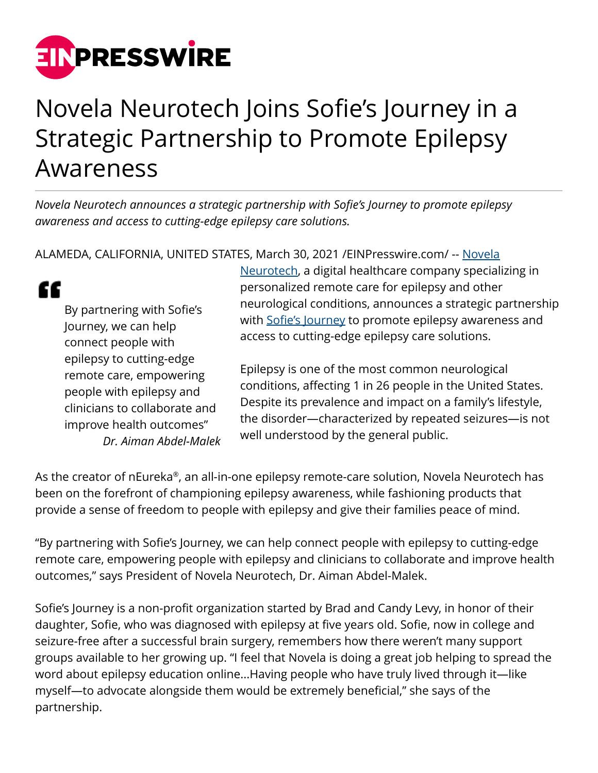

## Novela Neurotech Joins Sofie's Journey in a Strategic Partnership to Promote Epilepsy Awareness

*Novela Neurotech announces a strategic partnership with Sofie's Journey to promote epilepsy awareness and access to cutting-edge epilepsy care solutions.*

ALAMEDA, CALIFORNIA, UNITED STATES, March 30, 2021 [/EINPresswire.com](http://www.einpresswire.com)/ -- [Novela](http://novelaneuro.com)

" By partnering with Sofie's Journey, we can help connect people with epilepsy to cutting-edge remote care, empowering people with epilepsy and clinicians to collaborate and improve health outcomes" *Dr. Aiman Abdel-Malek*

[Neurotech](http://novelaneuro.com), a digital healthcare company specializing in personalized remote care for epilepsy and other neurological conditions, announces a strategic partnership with [Sofie's Journey](https://epilepsyawarenessday.org/) to promote epilepsy awareness and access to cutting-edge epilepsy care solutions.

Epilepsy is one of the most common neurological conditions, affecting 1 in 26 people in the United States. Despite its prevalence and impact on a family's lifestyle, the disorder—characterized by repeated seizures—is not well understood by the general public.

As the creator of nEureka®, an all-in-one epilepsy remote-care solution, Novela Neurotech has been on the forefront of championing epilepsy awareness, while fashioning products that provide a sense of freedom to people with epilepsy and give their families peace of mind.

"By partnering with Sofie's Journey, we can help connect people with epilepsy to cutting-edge remote care, empowering people with epilepsy and clinicians to collaborate and improve health outcomes," says President of Novela Neurotech, Dr. Aiman Abdel-Malek.

Sofie's Journey is a non-profit organization started by Brad and Candy Levy, in honor of their daughter, Sofie, who was diagnosed with epilepsy at five years old. Sofie, now in college and seizure-free after a successful brain surgery, remembers how there weren't many support groups available to her growing up. "I feel that Novela is doing a great job helping to spread the word about epilepsy education online...Having people who have truly lived through it—like myself—to advocate alongside them would be extremely beneficial," she says of the partnership.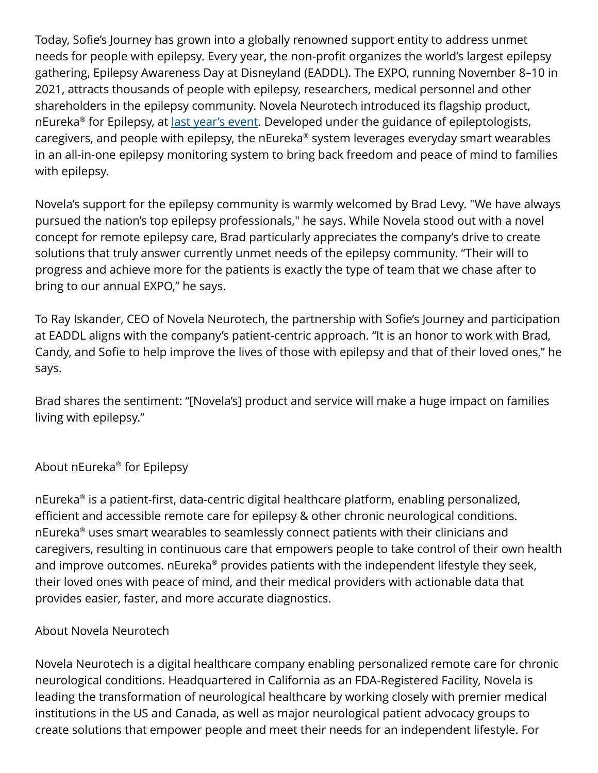Today, Sofie's Journey has grown into a globally renowned support entity to address unmet needs for people with epilepsy. Every year, the non-profit organizes the world's largest epilepsy gathering, Epilepsy Awareness Day at Disneyland (EADDL). The EXPO, running November 8–10 in 2021, attracts thousands of people with epilepsy, researchers, medical personnel and other shareholders in the epilepsy community. Novela Neurotech introduced its flagship product, nEureka® for Epilepsy, at <u>last year's event</u>. Developed under the guidance of epileptologists, caregivers, and people with epilepsy, the nEureka® system leverages everyday smart wearables in an all-in-one epilepsy monitoring system to bring back freedom and peace of mind to families with epilepsy.

Novela's support for the epilepsy community is warmly welcomed by Brad Levy. "We have always pursued the nation's top epilepsy professionals," he says. While Novela stood out with a novel concept for remote epilepsy care, Brad particularly appreciates the company's drive to create solutions that truly answer currently unmet needs of the epilepsy community. "Their will to progress and achieve more for the patients is exactly the type of team that we chase after to bring to our annual EXPO," he says.

To Ray Iskander, CEO of Novela Neurotech, the partnership with Sofie's Journey and participation at EADDL aligns with the company's patient-centric approach. "It is an honor to work with Brad, Candy, and Sofie to help improve the lives of those with epilepsy and that of their loved ones," he says.

Brad shares the sentiment: "[Novela's] product and service will make a huge impact on families living with epilepsy."

## About nEureka® for Epilepsy

nEureka® is a patient-first, data-centric digital healthcare platform, enabling personalized, efficient and accessible remote care for epilepsy & other chronic neurological conditions. nEureka® uses smart wearables to seamlessly connect patients with their clinicians and caregivers, resulting in continuous care that empowers people to take control of their own health and improve outcomes. <code>nEureka®</code> provides patients with the independent lifestyle they seek, their loved ones with peace of mind, and their medical providers with actionable data that provides easier, faster, and more accurate diagnostics.

## About Novela Neurotech

Novela Neurotech is a digital healthcare company enabling personalized remote care for chronic neurological conditions. Headquartered in California as an FDA-Registered Facility, Novela is leading the transformation of neurological healthcare by working closely with premier medical institutions in the US and Canada, as well as major neurological patient advocacy groups to create solutions that empower people and meet their needs for an independent lifestyle. For